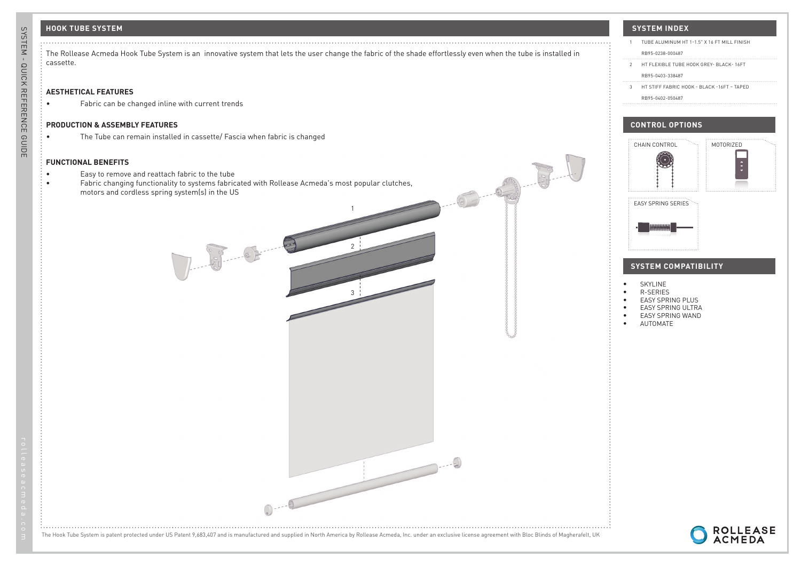### **HOOK TUBE SYSTEM**

|           | The Rollease Acmeda Hook Tube System is an innovative system that lets the user change the fabric of the shade effortlessly even when the tube is installed in |
|-----------|----------------------------------------------------------------------------------------------------------------------------------------------------------------|
| cassette. |                                                                                                                                                                |

1

 $\overline{2}$ 

3

## **AESTHETICAL FEATURES**

• Fabric can be changed inline with current trends

#### **PRODUCTION & ASSEMBLY FEATURES**

• The Tube can remain installed in cassette/ Fascia when fabric is changed

#### **FUNCTIONAL BENEFITS**

- Easy to remove and reattach fabric to the tube
- Fabric changing functionality to systems fabricated with Rollease Acmeda's most popular clutches, motors and cordless spring system(s) in the US

J. 8-8-8

RB95-0402-050487

# 1 TUBE ALUMINUM HT 1-1.5" X 16 FT MILL FINISH RB95-0238-000487 2 HT FLEXIBLE TUBE HOOK GREY- BLACK-16ET RB95-0403-338487 3 HT STIFF FABRIC HOOK - BLACK -16FT – TAPED



- EASY SPRING WAND
- AUTOMATE



The Hook Tube System is patent protected under US Patent 9,683,407 and is manufactured and supplied in North America by Rollease Acmeda, Inc. under an exclusive license agreement with Bloc Blinds of Magherafelt, UK

 $\begin{array}{c} \begin{array}{c} \end{array} \end{array}$